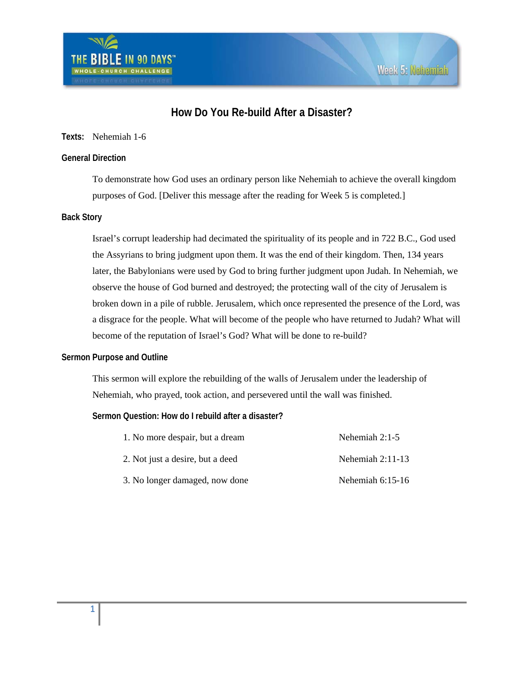

# **How Do You Re-build After a Disaster?**

## **Texts:** Nehemiah 1-6

## **General Direction**

To demonstrate how God uses an ordinary person like Nehemiah to achieve the overall kingdom purposes of God. [Deliver this message after the reading for Week 5 is completed.]

## **Back Story**

Israel's corrupt leadership had decimated the spirituality of its people and in 722 B.C., God used the Assyrians to bring judgment upon them. It was the end of their kingdom. Then, 134 years later, the Babylonians were used by God to bring further judgment upon Judah. In Nehemiah, we observe the house of God burned and destroyed; the protecting wall of the city of Jerusalem is broken down in a pile of rubble. Jerusalem, which once represented the presence of the Lord, was a disgrace for the people. What will become of the people who have returned to Judah? What will become of the reputation of Israel's God? What will be done to re-build?

### **Sermon Purpose and Outline**

This sermon will explore the rebuilding of the walls of Jerusalem under the leadership of Nehemiah, who prayed, took action, and persevered until the wall was finished.

## **Sermon Question: How do I rebuild after a disaster?**

| 1. No more despair, but a dream  | Nehemiah $2:1-5$   |
|----------------------------------|--------------------|
| 2. Not just a desire, but a deed | Nehemiah $2:11-13$ |
| 3. No longer damaged, now done   | Nehemiah $6:15-16$ |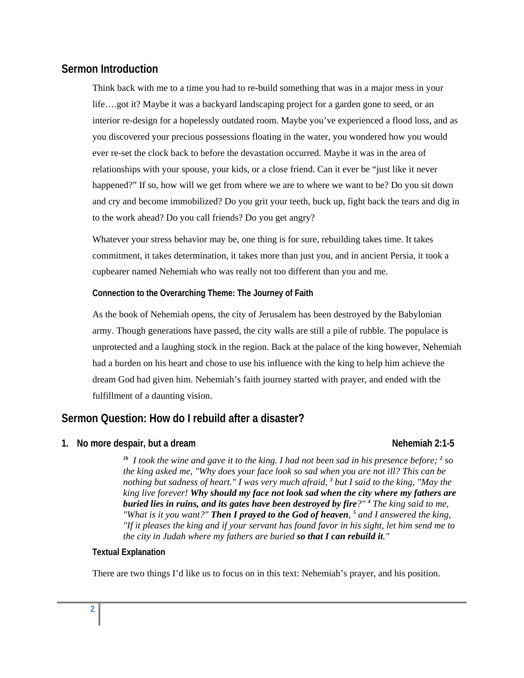# **Sermon Introduction**

Think back with me to a time you had to re-build something that was in a major mess in your life….got it? Maybe it was a backyard landscaping project for a garden gone to seed, or an interior re-design for a hopelessly outdated room. Maybe you've experienced a flood loss, and as you discovered your precious possessions floating in the water, you wondered how you would ever re-set the clock back to before the devastation occurred. Maybe it was in the area of relationships with your spouse, your kids, or a close friend. Can it ever be "just like it never happened?" If so, how will we get from where we are to where we want to be? Do you sit down and cry and become immobilized? Do you grit your teeth, buck up, fight back the tears and dig in to the work ahead? Do you call friends? Do you get angry?

Whatever your stress behavior may be, one thing is for sure, rebuilding takes time. It takes commitment, it takes determination, it takes more than just you, and in ancient Persia, it took a cupbearer named Nehemiah who was really not too different than you and me.

**Connection to the Overarching Theme: The Journey of Faith** 

As the book of Nehemiah opens, the city of Jerusalem has been destroyed by the Babylonian army. Though generations have passed, the city walls are still a pile of rubble. The populace is unprotected and a laughing stock in the region. Back at the palace of the king however, Nehemiah had a burden on his heart and chose to use his influence with the king to help him achieve the dream God had given him. Nehemiah's faith journey started with prayer, and ended with the fulfillment of a daunting vision.

# **Sermon Question: How do I rebuild after a disaster?**

## **1.** No more despair, but a dream Nehemiah 2:1-5 **Nehemiah 2:1-5**

<sup>*1b*</sup> I took the wine and gave it to the king. I had not been sad in his presence before; <sup>2</sup> so *the king asked me, "Why does your face look so sad when you are not ill? This can be nothing but sadness of heart." I was very much afraid, <sup>3</sup> but I said to the king, "May the king live forever! Why should my face not look sad when the city where my fathers are buried lies in ruins, and its gates have been destroyed by fire?" <sup>4</sup> The king said to me, "What is it you want?" Then I prayed to the God of heaven, <sup>5</sup> and I answered the king, "If it pleases the king and if your servant has found favor in his sight, let him send me to the city in Judah where my fathers are buried so that I can rebuild it."* 

### **Textual Explanation**

There are two things I'd like us to focus on in this text: Nehemiah's prayer, and his position.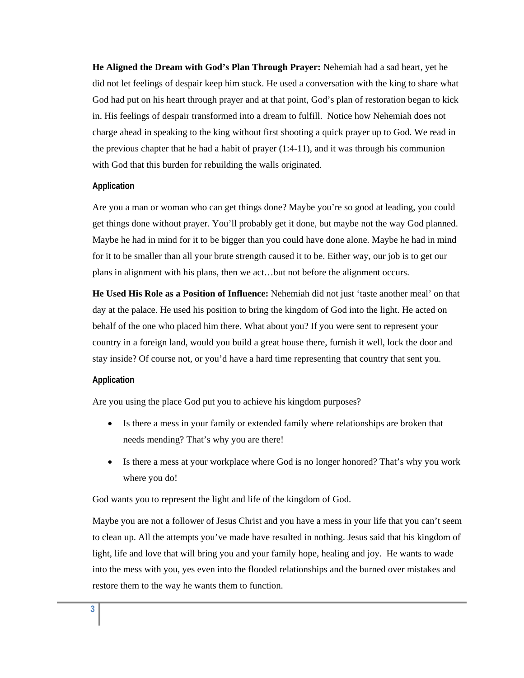**He Aligned the Dream with God's Plan Through Prayer:** Nehemiah had a sad heart, yet he did not let feelings of despair keep him stuck. He used a conversation with the king to share what God had put on his heart through prayer and at that point, God's plan of restoration began to kick in. His feelings of despair transformed into a dream to fulfill. Notice how Nehemiah does not charge ahead in speaking to the king without first shooting a quick prayer up to God. We read in the previous chapter that he had a habit of prayer  $(1:4-11)$ , and it was through his communion with God that this burden for rebuilding the walls originated.

#### **Application**

Are you a man or woman who can get things done? Maybe you're so good at leading, you could get things done without prayer. You'll probably get it done, but maybe not the way God planned. Maybe he had in mind for it to be bigger than you could have done alone. Maybe he had in mind for it to be smaller than all your brute strength caused it to be. Either way, our job is to get our plans in alignment with his plans, then we act…but not before the alignment occurs.

**He Used His Role as a Position of Influence:** Nehemiah did not just 'taste another meal' on that day at the palace. He used his position to bring the kingdom of God into the light. He acted on behalf of the one who placed him there. What about you? If you were sent to represent your country in a foreign land, would you build a great house there, furnish it well, lock the door and stay inside? Of course not, or you'd have a hard time representing that country that sent you.

#### **Application**

Are you using the place God put you to achieve his kingdom purposes?

- Is there a mess in your family or extended family where relationships are broken that needs mending? That's why you are there!
- Is there a mess at your workplace where God is no longer honored? That's why you work where you do!

God wants you to represent the light and life of the kingdom of God.

Maybe you are not a follower of Jesus Christ and you have a mess in your life that you can't seem to clean up. All the attempts you've made have resulted in nothing. Jesus said that his kingdom of light, life and love that will bring you and your family hope, healing and joy. He wants to wade into the mess with you, yes even into the flooded relationships and the burned over mistakes and restore them to the way he wants them to function.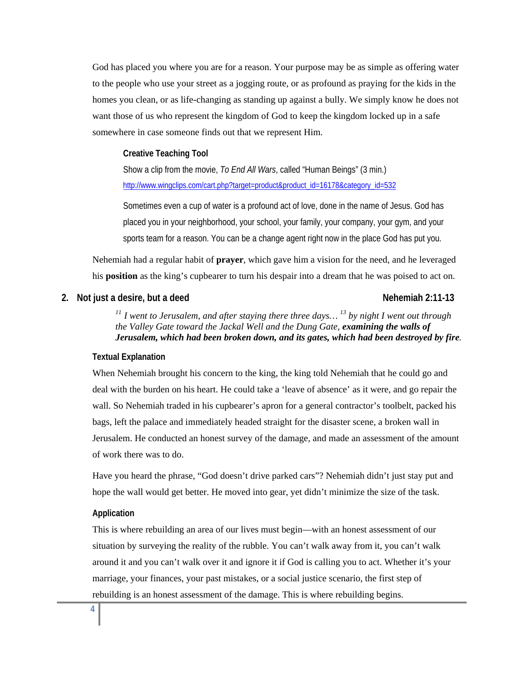God has placed you where you are for a reason. Your purpose may be as simple as offering water to the people who use your street as a jogging route, or as profound as praying for the kids in the homes you clean, or as life-changing as standing up against a bully. We simply know he does not want those of us who represent the kingdom of God to keep the kingdom locked up in a safe somewhere in case someone finds out that we represent Him.

#### **Creative Teaching Tool**

Show a clip from the movie, *To End All Wars*, called "Human Beings" (3 min.) http://www.wingclips.com/cart.php?target=product&product\_id=16178&category\_id=532

Sometimes even a cup of water is a profound act of love, done in the name of Jesus. God has placed you in your neighborhood, your school, your family, your company, your gym, and your sports team for a reason. You can be a change agent right now in the place God has put you.

Nehemiah had a regular habit of **prayer**, which gave him a vision for the need, and he leveraged his **position** as the king's cupbearer to turn his despair into a dream that he was poised to act on.

## **2.** Not just a desire, but a deed Nehemiah 2:11-13

*<sup>11</sup> I went to Jerusalem, and after staying there three days… 13 by night I went out through the Valley Gate toward the Jackal Well and the Dung Gate, examining the walls of Jerusalem, which had been broken down, and its gates, which had been destroyed by fire.* 

### **Textual Explanation**

When Nehemiah brought his concern to the king, the king told Nehemiah that he could go and deal with the burden on his heart. He could take a 'leave of absence' as it were, and go repair the wall. So Nehemiah traded in his cupbearer's apron for a general contractor's toolbelt, packed his bags, left the palace and immediately headed straight for the disaster scene, a broken wall in Jerusalem. He conducted an honest survey of the damage, and made an assessment of the amount of work there was to do.

Have you heard the phrase, "God doesn't drive parked cars"? Nehemiah didn't just stay put and hope the wall would get better. He moved into gear, yet didn't minimize the size of the task.

## **Application**

This is where rebuilding an area of our lives must begin—with an honest assessment of our situation by surveying the reality of the rubble. You can't walk away from it, you can't walk around it and you can't walk over it and ignore it if God is calling you to act. Whether it's your marriage, your finances, your past mistakes, or a social justice scenario, the first step of rebuilding is an honest assessment of the damage. This is where rebuilding begins.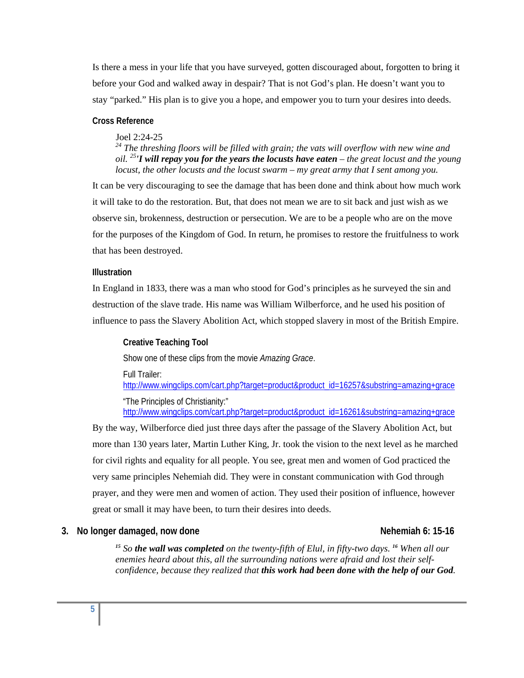Is there a mess in your life that you have surveyed, gotten discouraged about, forgotten to bring it before your God and walked away in despair? That is not God's plan. He doesn't want you to stay "parked." His plan is to give you a hope, and empower you to turn your desires into deeds.

#### **Cross Reference**

#### Joel 2:24-25

*24 The threshing floors will be filled with grain; the vats will overflow with new wine and oil. <sup>25</sup>'I will repay you for the years the locusts have eaten – the great locust and the young locust, the other locusts and the locust swarm – my great army that I sent among you.* 

It can be very discouraging to see the damage that has been done and think about how much work it will take to do the restoration. But, that does not mean we are to sit back and just wish as we observe sin, brokenness, destruction or persecution. We are to be a people who are on the move for the purposes of the Kingdom of God. In return, he promises to restore the fruitfulness to work that has been destroyed.

#### **Illustration**

In England in 1833, there was a man who stood for God's principles as he surveyed the sin and destruction of the slave trade. His name was William Wilberforce, and he used his position of influence to pass the Slavery Abolition Act, which stopped slavery in most of the British Empire.

**Creative Teaching Tool**  Show one of these clips from the movie *Amazing Grace*. Full Trailer: http://www.wingclips.com/cart.php?target=product&product\_id=16257&substring=amazing+grace "The Principles of Christianity:" http://www.wingclips.com/cart.php?target=product&product\_id=16261&substring=amazing+grace

By the way, Wilberforce died just three days after the passage of the Slavery Abolition Act, but more than 130 years later, Martin Luther King, Jr. took the vision to the next level as he marched for civil rights and equality for all people. You see, great men and women of God practiced the very same principles Nehemiah did. They were in constant communication with God through prayer, and they were men and women of action. They used their position of influence, however great or small it may have been, to turn their desires into deeds.

## **3.** No longer damaged, now done Nehemiah 6: 15-16

*<sup>15</sup> So the wall was completed on the twenty-fifth of Elul, in fifty-two days. <sup>16</sup> When all our enemies heard about this, all the surrounding nations were afraid and lost their selfconfidence, because they realized that this work had been done with the help of our God.*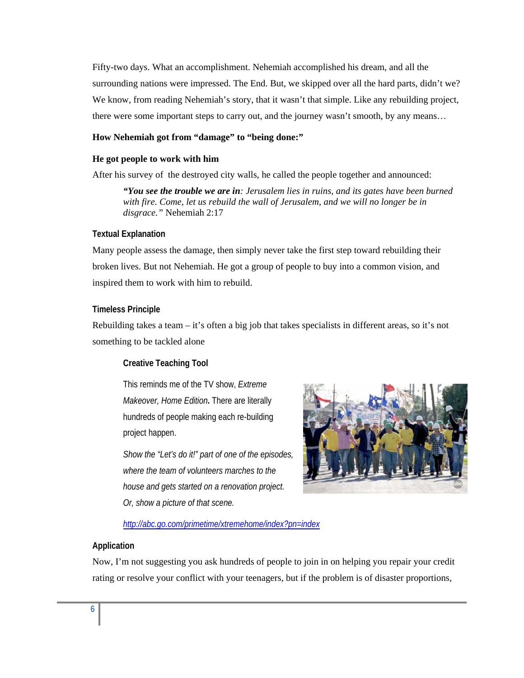Fifty-two days. What an accomplishment. Nehemiah accomplished his dream, and all the surrounding nations were impressed. The End. But, we skipped over all the hard parts, didn't we? We know, from reading Nehemiah's story, that it wasn't that simple. Like any rebuilding project, there were some important steps to carry out, and the journey wasn't smooth, by any means…

## **How Nehemiah got from "damage" to "being done:"**

#### **He got people to work with him**

After his survey of the destroyed city walls, he called the people together and announced:

*"You see the trouble we are in: Jerusalem lies in ruins, and its gates have been burned*  with fire. Come, let us rebuild the wall of Jerusalem, and we will no longer be in *disgrace."* Nehemiah 2:17

#### **Textual Explanation**

Many people assess the damage, then simply never take the first step toward rebuilding their broken lives. But not Nehemiah. He got a group of people to buy into a common vision, and inspired them to work with him to rebuild.

#### **Timeless Principle**

Rebuilding takes a team – it's often a big job that takes specialists in different areas, so it's not something to be tackled alone

## **Creative Teaching Tool**

This reminds me of the TV show, *Extreme Makeover, Home Edition***.** There are literally hundreds of people making each re-building project happen.

*Show the "Let's do it!" part of one of the episodes, where the team of volunteers marches to the house and gets started on a renovation project. Or, show a picture of that scene.* 



*http://abc.go.com/primetime/xtremehome/index?pn=index* 

## **Application**

Now, I'm not suggesting you ask hundreds of people to join in on helping you repair your credit rating or resolve your conflict with your teenagers, but if the problem is of disaster proportions,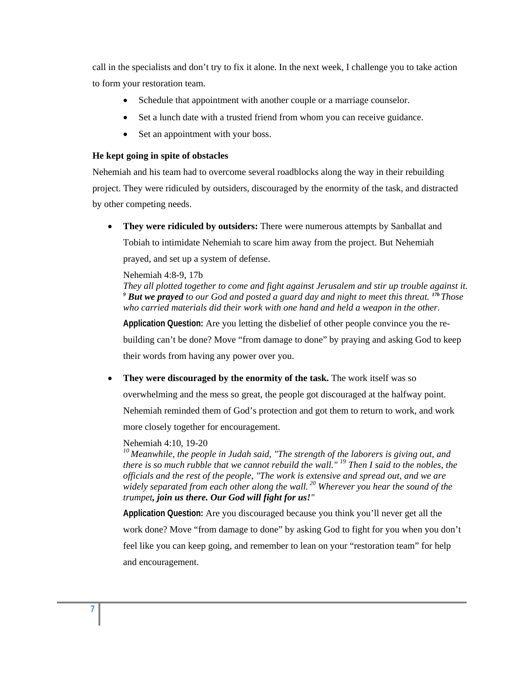call in the specialists and don't try to fix it alone. In the next week, I challenge you to take action to form your restoration team.

- Schedule that appointment with another couple or a marriage counselor.
- Set a lunch date with a trusted friend from whom you can receive guidance.
- Set an appointment with your boss.

### **He kept going in spite of obstacles**

Nehemiah and his team had to overcome several roadblocks along the way in their rebuilding project. They were ridiculed by outsiders, discouraged by the enormity of the task, and distracted by other competing needs.

 **They were ridiculed by outsiders:** There were numerous attempts by Sanballat and Tobiah to intimidate Nehemiah to scare him away from the project. But Nehemiah prayed, and set up a system of defense.

#### Nehemiah 4:8-9, 17b

*They all plotted together to come and fight against Jerusalem and stir up trouble against it. <sup>9</sup> But we prayed to our God and posted a guard day and night to meet this threat. 17b Those who carried materials did their work with one hand and held a weapon in the other.* 

**Application Question:** Are you letting the disbelief of other people convince you the re-

building can't be done? Move "from damage to done" by praying and asking God to keep

their words from having any power over you.

**They were discouraged by the enormity of the task.** The work itself was so

overwhelming and the mess so great, the people got discouraged at the halfway point.

Nehemiah reminded them of God's protection and got them to return to work, and work

more closely together for encouragement.

#### Nehemiah 4:10, 19-20

*10 Meanwhile, the people in Judah said, "The strength of the laborers is giving out, and there is so much rubble that we cannot rebuild the wall." 19 Then I said to the nobles, the officials and the rest of the people, "The work is extensive and spread out, and we are widely separated from each other along the wall. 20 Wherever you hear the sound of the trumpet, join us there. Our God will fight for us!"* 

**Application Question:** Are you discouraged because you think you'll never get all the work done? Move "from damage to done" by asking God to fight for you when you don't feel like you can keep going, and remember to lean on your "restoration team" for help and encouragement.